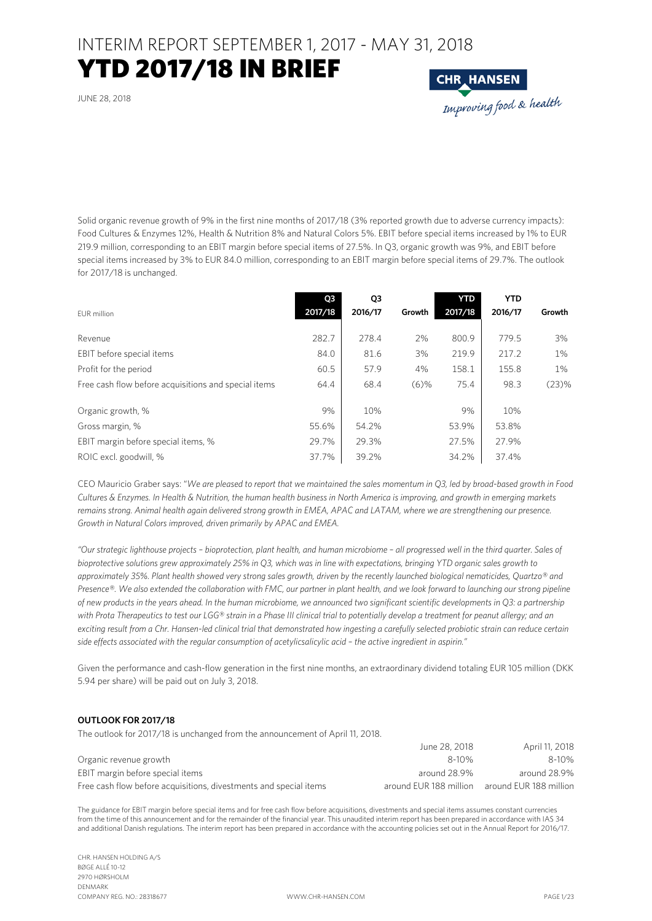### YTD 2017/18 IN BRIEF

JUNE 28, 2018



Solid organic revenue growth of 9% in the first nine months of 2017/18 (3% reported growth due to adverse currency impacts): Food Cultures & Enzymes 12%, Health & Nutrition 8% and Natural Colors 5%. EBIT before special items increased by 1% to EUR 219.9 million, corresponding to an EBIT margin before special items of 27.5%. In Q3, organic growth was 9%, and EBIT before special items increased by 3% to EUR 84.0 million, corresponding to an EBIT margin before special items of 29.7%. The outlook for 2017/18 is unchanged.

| EUR million                                          | Q <sub>3</sub><br>2017/18 | Q3<br>2016/17 | Growth  | <b>YTD</b><br>2017/18 | <b>YTD</b><br>2016/17 | Growth |
|------------------------------------------------------|---------------------------|---------------|---------|-----------------------|-----------------------|--------|
| Revenue                                              | 282.7                     | 278.4         | 2%      | 800.9                 | 779.5                 | 3%     |
| EBIT before special items                            | 84.0                      | 81.6          | 3%      | 219.9                 | 217.2                 | 1%     |
| Profit for the period                                | 60.5                      | 57.9          | 4%      | 158.1                 | 155.8                 | 1%     |
| Free cash flow before acquisitions and special items | 64.4                      | 68.4          | $(6)$ % | 75.4                  | 98.3                  | (23)%  |
| Organic growth, %                                    | 9%                        | 10%           |         | 9%                    | 10%                   |        |
| Gross margin, %                                      | 55.6%                     | 54.2%         |         | 53.9%                 | 53.8%                 |        |
| EBIT margin before special items, %                  | 29.7%                     | 29.3%         |         | 27.5%                 | 27.9%                 |        |
| ROIC excl. goodwill, %                               | 37.7%                     | 39.2%         |         | 34.2%                 | 37.4%                 |        |

CEO Mauricio Graber says: "*We are pleased to report that we maintained the sales momentum in Q3, led by broad-based growth in Food Cultures & Enzymes. In Health & Nutrition, the human health business in North America is improving, and growth in emerging markets remains strong. Animal health again delivered strong growth in EMEA, APAC and LATAM, where we are strengthening our presence. Growth in Natural Colors improved, driven primarily by APAC and EMEA.* 

*"Our strategic lighthouse projects – bioprotection, plant health, and human microbiome – all progressed well in the third quarter. Sales of bioprotective solutions grew approximately 25% in Q3, which was in line with expectations, bringing YTD organic sales growth to approximately 35%. Plant health showed very strong sales growth, driven by the recently launched biological nematicides, Quartzo® and Presence®. We also extended the collaboration with FMC, our partner in plant health, and we look forward to launching our strong pipeline of new products in the years ahead. In the human microbiome, we announced two significant scientific developments in Q3: a partnership with Prota Therapeutics to test our LGG® strain in a Phase III clinical trial to potentially develop a treatment for peanut allergy; and an exciting result from a Chr. Hansen-led clinical trial that demonstrated how ingesting a carefully selected probiotic strain can reduce certain side effects associated with the regular consumption of acetylicsalicylic acid – the active ingredient in aspirin."* 

Given the performance and cash-flow generation in the first nine months, an extraordinary dividend totaling EUR 105 million (DKK 5.94 per share) will be paid out on July 3, 2018.

#### **OUTLOOK FOR 2017/18**

The outlook for 2017/18 is unchanged from the announcement of April 11, 2018.

|                                                                   | June 28, 2018          | April 11, 2018         |
|-------------------------------------------------------------------|------------------------|------------------------|
| Organic revenue growth                                            | 8-10%                  | $8 - 10%$              |
| EBIT margin before special items                                  | around 28.9%           | around 28.9%           |
| Free cash flow before acquisitions, divestments and special items | around FUR 188 million | around EUR 188 million |

The guidance for EBIT margin before special items and for free cash flow before acquisitions, divestments and special items assumes constant currencies from the time of this announcement and for the remainder of the financial year. This unaudited interim report has been prepared in accordance with IAS 34 and additional Danish regulations. The interim report has been prepared in accordance with the accounting policies set out in the Annual Report for 2016/17.

CHR. HANSEN HOLDING A/S BØGE ALLÉ 10-12 2970 HØRSHOLM DENMARK COMPANY REG. NO.: 28318677 WWW.CHR-HANSEN.COM PAGE 1/23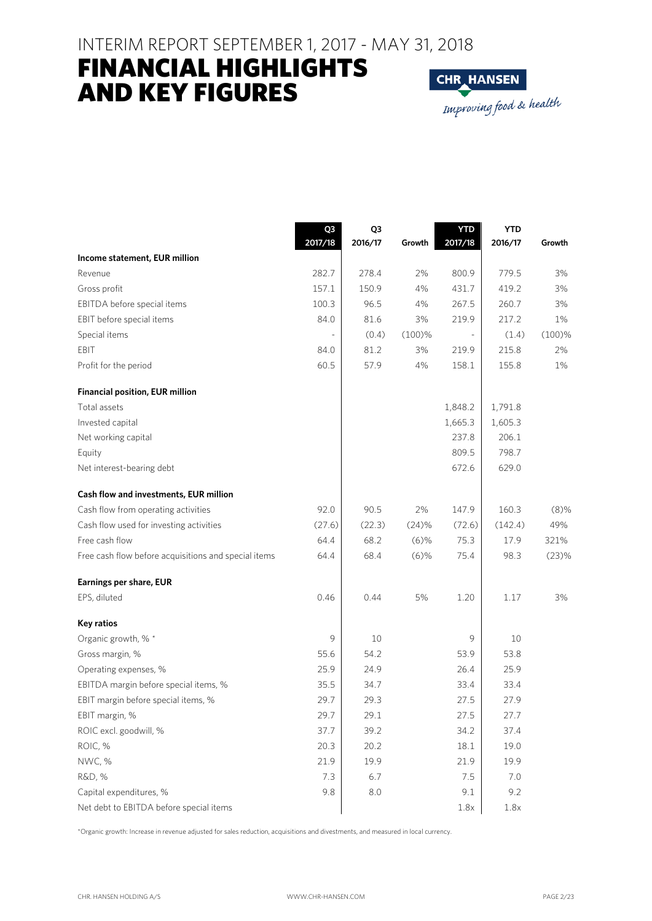### FINANCIAL HIGHLIGHTS AND KEY FIGURES



|                                                      | Q3      | Q3      |         | <b>YTD</b> | <b>YTD</b> |         |
|------------------------------------------------------|---------|---------|---------|------------|------------|---------|
|                                                      | 2017/18 | 2016/17 | Growth  | 2017/18    | 2016/17    | Growth  |
| Income statement, EUR million                        |         |         |         |            |            |         |
| Revenue                                              | 282.7   | 278.4   | 2%      | 800.9      | 779.5      | 3%      |
| Gross profit                                         | 157.1   | 150.9   | 4%      | 431.7      | 419.2      | 3%      |
| EBITDA before special items                          | 100.3   | 96.5    | 4%      | 267.5      | 260.7      | 3%      |
| EBIT before special items                            | 84.0    | 81.6    | 3%      | 219.9      | 217.2      | 1%      |
| Special items                                        |         | (0.4)   | (100)%  |            | (1.4)      | (100)%  |
| EBIT                                                 | 84.0    | 81.2    | 3%      | 219.9      | 215.8      | 2%      |
| Profit for the period                                | 60.5    | 57.9    | 4%      | 158.1      | 155.8      | 1%      |
| <b>Financial position, EUR million</b>               |         |         |         |            |            |         |
| Total assets                                         |         |         |         | 1,848.2    | 1,791.8    |         |
| Invested capital                                     |         |         |         | 1,665.3    | 1,605.3    |         |
| Net working capital                                  |         |         |         | 237.8      | 206.1      |         |
| Equity                                               |         |         |         | 809.5      | 798.7      |         |
| Net interest-bearing debt                            |         |         |         | 672.6      | 629.0      |         |
| Cash flow and investments, EUR million               |         |         |         |            |            |         |
| Cash flow from operating activities                  | 92.0    | 90.5    | 2%      | 147.9      | 160.3      | $(8)$ % |
| Cash flow used for investing activities              | (27.6)  | (22.3)  | (24)%   | (72.6)     | (142.4)    | 49%     |
| Free cash flow                                       | 64.4    | 68.2    | $(6)$ % | 75.3       | 17.9       | 321%    |
| Free cash flow before acquisitions and special items | 64.4    | 68.4    | $(6)$ % | 75.4       | 98.3       | (23)%   |
| Earnings per share, EUR                              |         |         |         |            |            |         |
| EPS, diluted                                         | 0.46    | 0.44    | 5%      | 1.20       | 1.17       | 3%      |
| Key ratios                                           |         |         |         |            |            |         |
| Organic growth, % *                                  | 9       | 10      |         | 9          | 10         |         |
| Gross margin, %                                      | 55.6    | 54.2    |         | 53.9       | 53.8       |         |
| Operating expenses, %                                | 25.9    | 24.9    |         | 26.4       | 25.9       |         |
| EBITDA margin before special items, %                | 35.5    | 34.7    |         | 33.4       | 33.4       |         |
| EBIT margin before special items, %                  | 29.7    | 29.3    |         | 27.5       | 27.9       |         |
| EBIT margin, %                                       | 29.7    | 29.1    |         | 27.5       | 27.7       |         |
| ROIC excl. goodwill, %                               | 37.7    | 39.2    |         | 34.2       | 37.4       |         |
| ROIC, %                                              | 20.3    | 20.2    |         | 18.1       | 19.0       |         |
| NWC, %                                               | 21.9    | 19.9    |         | 21.9       | 19.9       |         |
| R&D, %                                               | 7.3     | 6.7     |         | 7.5        | 7.0        |         |
| Capital expenditures, %                              | 9.8     | $8.0\,$ |         | 9.1        | 9.2        |         |
| Net debt to EBITDA before special items              |         |         |         | 1.8x       | 1.8x       |         |

\*Organic growth: Increase in revenue adjusted for sales reduction, acquisitions and divestments, and measured in local currency.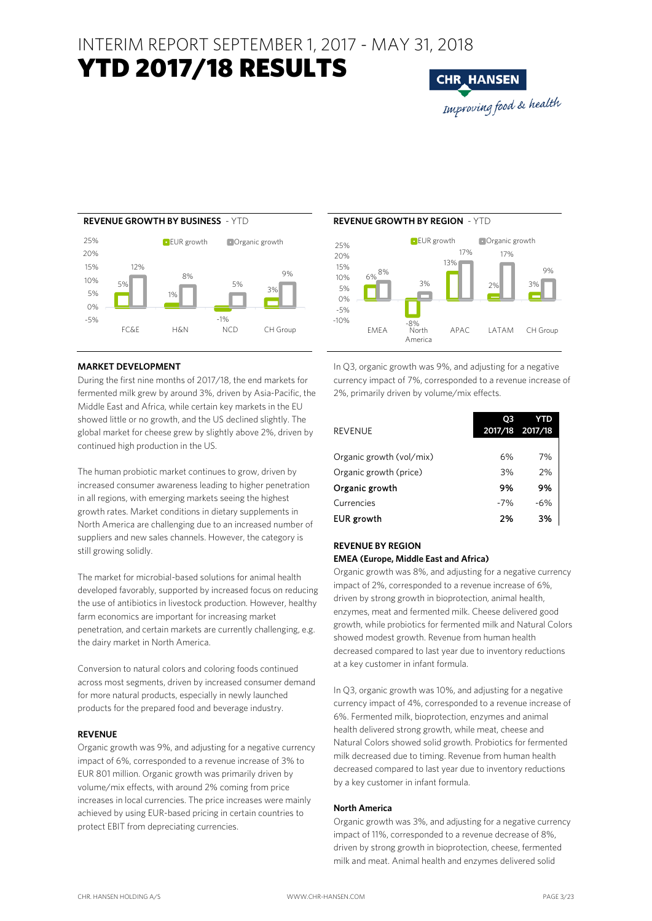### YTD 2017/18 RESULTS





#### **MARKET DEVELOPMENT**

During the first nine months of 2017/18, the end markets for fermented milk grew by around 3%, driven by Asia-Pacific, the Middle East and Africa, while certain key markets in the EU showed little or no growth, and the US declined slightly. The global market for cheese grew by slightly above 2%, driven by continued high production in the US.

The human probiotic market continues to grow, driven by increased consumer awareness leading to higher penetration in all regions, with emerging markets seeing the highest growth rates. Market conditions in dietary supplements in North America are challenging due to an increased number of suppliers and new sales channels. However, the category is still growing solidly.

The market for microbial-based solutions for animal health developed favorably, supported by increased focus on reducing the use of antibiotics in livestock production. However, healthy farm economics are important for increasing market penetration, and certain markets are currently challenging, e.g. the dairy market in North America.

Conversion to natural colors and coloring foods continued across most segments, driven by increased consumer demand for more natural products, especially in newly launched products for the prepared food and beverage industry.

#### **REVENUE**

Organic growth was 9%, and adjusting for a negative currency impact of 6%, corresponded to a revenue increase of 3% to EUR 801 million. Organic growth was primarily driven by volume/mix effects, with around 2% coming from price increases in local currencies. The price increases were mainly achieved by using EUR-based pricing in certain countries to protect EBIT from depreciating currencies.

#### **REVENUE GROWTH BY BUSINESS** - YTD **REVENUE GROWTH BY REGION** - YTD  $6%$ 13% 2% 3% 8% 3% 17% 17% 9% -5% 0% 5% 10% 15% 20% 25% **EUR** growth **Organic growth**

-8%<br>North  $-10%$  $FMAFA$ America APAC LATAM CH Group

In Q3, organic growth was 9%, and adjusting for a negative currency impact of 7%, corresponded to a revenue increase of 2%, primarily driven by volume/mix effects.

| <b>REVENUE</b>           | O3<br>2017/18 2017/18 | TD    |
|--------------------------|-----------------------|-------|
| Organic growth (vol/mix) | 6%                    | 7%    |
| Organic growth (price)   | 3%                    | 2%    |
| Organic growth           | 9%                    | 9%    |
| Currencies               | $-7%$                 | $-6%$ |
| <b>EUR</b> growth        | 2%                    | 3%    |

### **REVENUE BY REGION**

#### **EMEA (Europe, Middle East and Africa)**

Organic growth was 8%, and adjusting for a negative currency impact of 2%, corresponded to a revenue increase of 6%, driven by strong growth in bioprotection, animal health, enzymes, meat and fermented milk. Cheese delivered good growth, while probiotics for fermented milk and Natural Colors showed modest growth. Revenue from human health decreased compared to last year due to inventory reductions at a key customer in infant formula.

In Q3, organic growth was 10%, and adjusting for a negative currency impact of 4%, corresponded to a revenue increase of 6%. Fermented milk, bioprotection, enzymes and animal health delivered strong growth, while meat, cheese and Natural Colors showed solid growth. Probiotics for fermented milk decreased due to timing. Revenue from human health decreased compared to last year due to inventory reductions by a key customer in infant formula.

#### **North America**

Organic growth was 3%, and adjusting for a negative currency impact of 11%, corresponded to a revenue decrease of 8%, driven by strong growth in bioprotection, cheese, fermented milk and meat. Animal health and enzymes delivered solid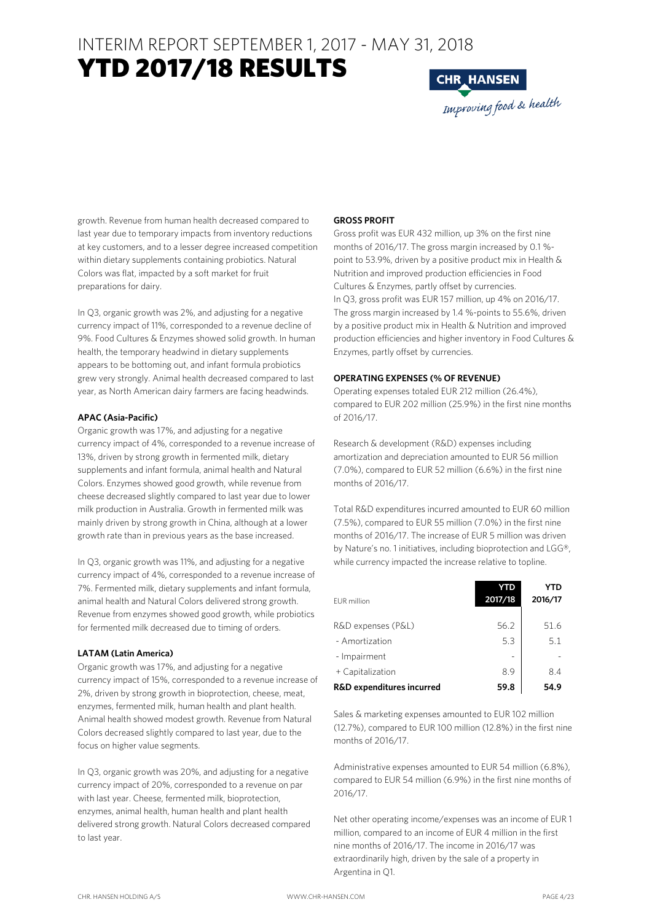### YTD 2017/18 RESULTS



growth. Revenue from human health decreased compared to last year due to temporary impacts from inventory reductions at key customers, and to a lesser degree increased competition within dietary supplements containing probiotics. Natural Colors was flat, impacted by a soft market for fruit preparations for dairy.

In Q3, organic growth was 2%, and adjusting for a negative currency impact of 11%, corresponded to a revenue decline of 9%. Food Cultures & Enzymes showed solid growth. In human health, the temporary headwind in dietary supplements appears to be bottoming out, and infant formula probiotics grew very strongly. Animal health decreased compared to last year, as North American dairy farmers are facing headwinds.

#### **APAC (Asia-Pacific)**

Organic growth was 17%, and adjusting for a negative currency impact of 4%, corresponded to a revenue increase of 13%, driven by strong growth in fermented milk, dietary supplements and infant formula, animal health and Natural Colors. Enzymes showed good growth, while revenue from cheese decreased slightly compared to last year due to lower milk production in Australia. Growth in fermented milk was mainly driven by strong growth in China, although at a lower growth rate than in previous years as the base increased.

In Q3, organic growth was 11%, and adjusting for a negative currency impact of 4%, corresponded to a revenue increase of 7%. Fermented milk, dietary supplements and infant formula, animal health and Natural Colors delivered strong growth. Revenue from enzymes showed good growth, while probiotics for fermented milk decreased due to timing of orders.

#### **LATAM (Latin America)**

Organic growth was 17%, and adjusting for a negative currency impact of 15%, corresponded to a revenue increase of 2%, driven by strong growth in bioprotection, cheese, meat, enzymes, fermented milk, human health and plant health. Animal health showed modest growth. Revenue from Natural Colors decreased slightly compared to last year, due to the focus on higher value segments.

In Q3, organic growth was 20%, and adjusting for a negative currency impact of 20%, corresponded to a revenue on par with last year. Cheese, fermented milk, bioprotection, enzymes, animal health, human health and plant health delivered strong growth. Natural Colors decreased compared to last year.

#### **GROSS PROFIT**

Gross profit was EUR 432 million, up 3% on the first nine months of 2016/17. The gross margin increased by 0.1 % point to 53.9%, driven by a positive product mix in Health & Nutrition and improved production efficiencies in Food Cultures & Enzymes, partly offset by currencies. In Q3, gross profit was EUR 157 million, up 4% on 2016/17. The gross margin increased by 1.4 %-points to 55.6%, driven by a positive product mix in Health & Nutrition and improved production efficiencies and higher inventory in Food Cultures & Enzymes, partly offset by currencies.

#### **OPERATING EXPENSES (% OF REVENUE)**

Operating expenses totaled EUR 212 million (26.4%), compared to EUR 202 million (25.9%) in the first nine months of 2016/17.

Research & development (R&D) expenses including amortization and depreciation amounted to EUR 56 million (7.0%), compared to EUR 52 million (6.6%) in the first nine months of 2016/17.

Total R&D expenditures incurred amounted to EUR 60 million (7.5%), compared to EUR 55 million (7.0%) in the first nine months of 2016/17. The increase of EUR 5 million was driven by Nature's no. 1 initiatives, including bioprotection and LGG®, while currency impacted the increase relative to topline.

| EUR million               | YTD<br>2017/18 | YTD<br>2016/17 |
|---------------------------|----------------|----------------|
| R&D expenses (P&L)        | 56.2           | 51.6           |
| - Amortization            | 5.3            | 5.1            |
| - Impairment              |                |                |
| + Capitalization          | 8.9            | 8.4            |
| R&D expenditures incurred | 59.8           | 54.9           |

Sales & marketing expenses amounted to EUR 102 million (12.7%), compared to EUR 100 million (12.8%) in the first nine months of 2016/17.

Administrative expenses amounted to EUR 54 million (6.8%), compared to EUR 54 million (6.9%) in the first nine months of 2016/17.

Net other operating income/expenses was an income of EUR 1 million, compared to an income of EUR 4 million in the first nine months of 2016/17. The income in 2016/17 was extraordinarily high, driven by the sale of a property in Argentina in Q1.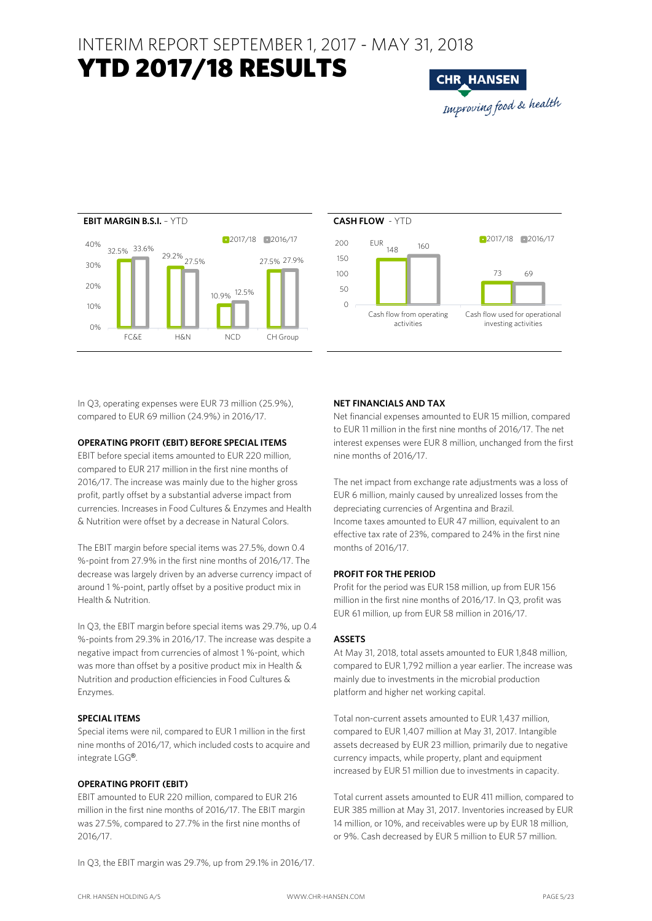### YTD 2017/18 RESULTS







In Q3, operating expenses were EUR 73 million (25.9%), compared to EUR 69 million (24.9%) in 2016/17.

#### **OPERATING PROFIT (EBIT) BEFORE SPECIAL ITEMS**

EBIT before special items amounted to EUR 220 million, compared to EUR 217 million in the first nine months of 2016/17. The increase was mainly due to the higher gross profit, partly offset by a substantial adverse impact from currencies. Increases in Food Cultures & Enzymes and Health & Nutrition were offset by a decrease in Natural Colors.

The EBIT margin before special items was 27.5%, down 0.4 %-point from 27.9% in the first nine months of 2016/17. The decrease was largely driven by an adverse currency impact of around 1 %-point, partly offset by a positive product mix in Health & Nutrition.

In Q3, the EBIT margin before special items was 29.7%, up 0.4 %-points from 29.3% in 2016/17. The increase was despite a negative impact from currencies of almost 1 %-point, which was more than offset by a positive product mix in Health & Nutrition and production efficiencies in Food Cultures & Enzymes.

#### **SPECIAL ITEMS**

Special items were nil, compared to EUR 1 million in the first nine months of 2016/17, which included costs to acquire and integrate LGG®.

#### **OPERATING PROFIT (EBIT)**

EBIT amounted to EUR 220 million, compared to EUR 216 million in the first nine months of 2016/17. The EBIT margin was 27.5%, compared to 27.7% in the first nine months of 2016/17.

In Q3, the EBIT margin was 29.7%, up from 29.1% in 2016/17.

#### **NET FINANCIALS AND TAX**

Net financial expenses amounted to EUR 15 million, compared to EUR 11 million in the first nine months of 2016/17. The net interest expenses were EUR 8 million, unchanged from the first nine months of 2016/17.

The net impact from exchange rate adjustments was a loss of EUR 6 million, mainly caused by unrealized losses from the depreciating currencies of Argentina and Brazil. Income taxes amounted to EUR 47 million, equivalent to an effective tax rate of 23%, compared to 24% in the first nine months of 2016/17.

#### **PROFIT FOR THE PERIOD**

Profit for the period was EUR 158 million, up from EUR 156 million in the first nine months of 2016/17. In Q3, profit was EUR 61 million, up from EUR 58 million in 2016/17.

#### **ASSETS**

At May 31, 2018, total assets amounted to EUR 1,848 million, compared to EUR 1,792 million a year earlier. The increase was mainly due to investments in the microbial production platform and higher net working capital.

Total non-current assets amounted to EUR 1,437 million, compared to EUR 1,407 million at May 31, 2017. Intangible assets decreased by EUR 23 million, primarily due to negative currency impacts, while property, plant and equipment increased by EUR 51 million due to investments in capacity.

Total current assets amounted to EUR 411 million, compared to EUR 385 million at May 31, 2017. Inventories increased by EUR 14 million, or 10%, and receivables were up by EUR 18 million, or 9%. Cash decreased by EUR 5 million to EUR 57 million.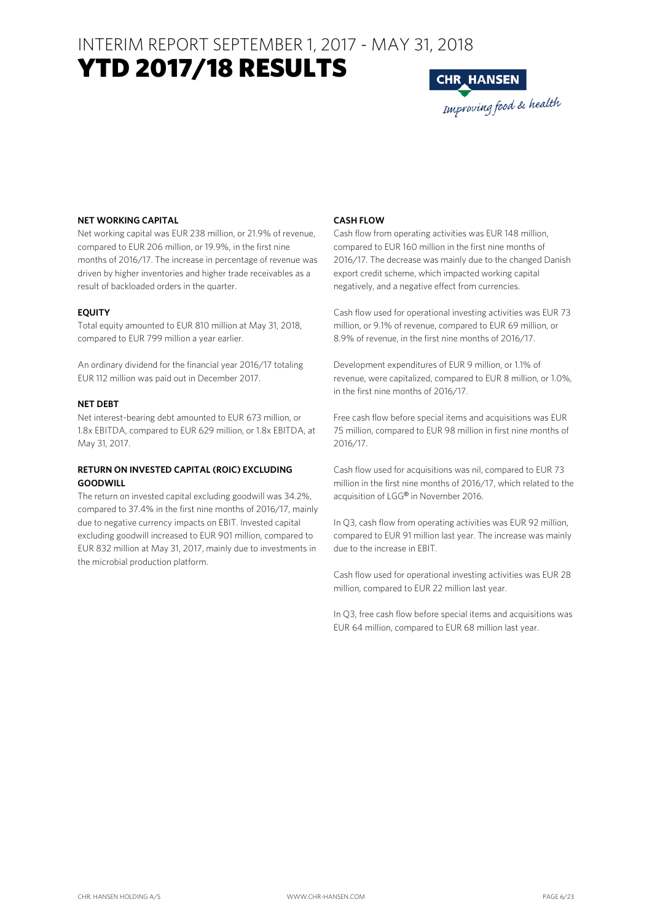### YTD 2017/18 RESULTS



#### **NET WORKING CAPITAL**

Net working capital was EUR 238 million, or 21.9% of revenue, compared to EUR 206 million, or 19.9%, in the first nine months of 2016/17. The increase in percentage of revenue was driven by higher inventories and higher trade receivables as a result of backloaded orders in the quarter.

#### **EQUITY**

Total equity amounted to EUR 810 million at May 31, 2018, compared to EUR 799 million a year earlier.

An ordinary dividend for the financial year 2016/17 totaling EUR 112 million was paid out in December 2017.

#### **NET DEBT**

Net interest-bearing debt amounted to EUR 673 million, or 1.8x EBITDA, compared to EUR 629 million, or 1.8x EBITDA, at May 31, 2017.

#### **RETURN ON INVESTED CAPITAL (ROIC) EXCLUDING GOODWILL**

The return on invested capital excluding goodwill was 34.2%, compared to 37.4% in the first nine months of 2016/17, mainly due to negative currency impacts on EBIT. Invested capital excluding goodwill increased to EUR 901 million, compared to EUR 832 million at May 31, 2017, mainly due to investments in the microbial production platform.

#### **CASH FLOW**

Cash flow from operating activities was EUR 148 million, compared to EUR 160 million in the first nine months of 2016/17. The decrease was mainly due to the changed Danish export credit scheme, which impacted working capital negatively, and a negative effect from currencies.

Cash flow used for operational investing activities was EUR 73 million, or 9.1% of revenue, compared to EUR 69 million, or 8.9% of revenue, in the first nine months of 2016/17.

Development expenditures of EUR 9 million, or 1.1% of revenue, were capitalized, compared to EUR 8 million, or 1.0%, in the first nine months of 2016/17.

Free cash flow before special items and acquisitions was EUR 75 million, compared to EUR 98 million in first nine months of 2016/17.

Cash flow used for acquisitions was nil, compared to EUR 73 million in the first nine months of 2016/17, which related to the acquisition of LGG® in November 2016.

In Q3, cash flow from operating activities was EUR 92 million, compared to EUR 91 million last year. The increase was mainly due to the increase in EBIT.

Cash flow used for operational investing activities was EUR 28 million, compared to EUR 22 million last year.

In Q3, free cash flow before special items and acquisitions was EUR 64 million, compared to EUR 68 million last year.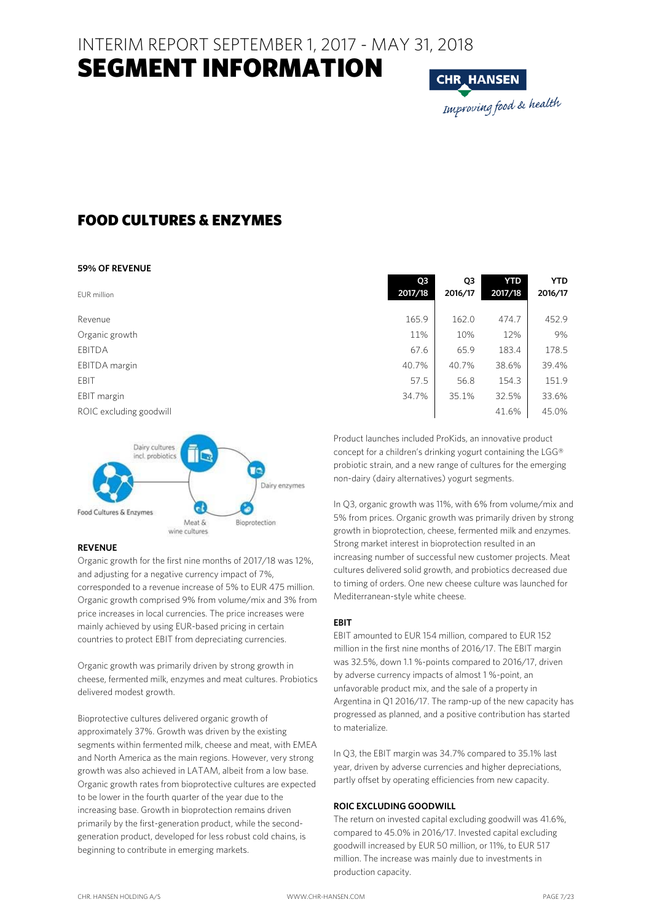### SEGMENT INFORMATION

**CHR HANSEN** Improving food & health

### FOOD CULTURES & ENZYMES

#### **59% OF REVENUE**

| EUR million             | Q3<br>2017/18 | Q3<br>2016/17 | YTD<br>2017/18 | <b>YTD</b><br>2016/17 |
|-------------------------|---------------|---------------|----------------|-----------------------|
| Revenue                 | 165.9         | 162.0         | 474.7          | 452.9                 |
| Organic growth          | 11%           | 10%           | 12%            | 9%                    |
| <b>EBITDA</b>           | 67.6          | 65.9          | 183.4          | 178.5                 |
| EBITDA margin           | 40.7%         | 40.7%         | 38.6%          | 39.4%                 |
| EBIT                    | 57.5          | 56.8          | 154.3          | 151.9                 |
| EBIT margin             | 34.7%         | 35.1%         | 32.5%          | 33.6%                 |
| ROIC excluding goodwill |               |               | 41.6%          | 45.0%                 |
|                         |               |               |                |                       |



#### **REVENUE**

Organic growth for the first nine months of 2017/18 was 12%, and adjusting for a negative currency impact of 7%, corresponded to a revenue increase of 5% to EUR 475 million. Organic growth comprised 9% from volume/mix and 3% from price increases in local currencies. The price increases were mainly achieved by using EUR-based pricing in certain countries to protect EBIT from depreciating currencies.

Organic growth was primarily driven by strong growth in cheese, fermented milk, enzymes and meat cultures. Probiotics delivered modest growth.

Bioprotective cultures delivered organic growth of approximately 37%. Growth was driven by the existing segments within fermented milk, cheese and meat, with EMEA and North America as the main regions. However, very strong growth was also achieved in LATAM, albeit from a low base. Organic growth rates from bioprotective cultures are expected to be lower in the fourth quarter of the year due to the increasing base. Growth in bioprotection remains driven primarily by the first-generation product, while the secondgeneration product, developed for less robust cold chains, is beginning to contribute in emerging markets.

Product launches included ProKids, an innovative product concept for a children's drinking yogurt containing the LGG® probiotic strain, and a new range of cultures for the emerging non-dairy (dairy alternatives) yogurt segments.

In Q3, organic growth was 11%, with 6% from volume/mix and 5% from prices. Organic growth was primarily driven by strong growth in bioprotection, cheese, fermented milk and enzymes. Strong market interest in bioprotection resulted in an increasing number of successful new customer projects. Meat cultures delivered solid growth, and probiotics decreased due to timing of orders. One new cheese culture was launched for Mediterranean-style white cheese.

#### **EBIT**

EBIT amounted to EUR 154 million, compared to EUR 152 million in the first nine months of 2016/17. The EBIT margin was 32.5%, down 1.1 %-points compared to 2016/17, driven by adverse currency impacts of almost 1 %-point, an unfavorable product mix, and the sale of a property in Argentina in Q1 2016/17. The ramp-up of the new capacity has progressed as planned, and a positive contribution has started to materialize.

In Q3, the EBIT margin was 34.7% compared to 35.1% last year, driven by adverse currencies and higher depreciations, partly offset by operating efficiencies from new capacity.

#### **ROIC EXCLUDING GOODWILL**

The return on invested capital excluding goodwill was 41.6%, compared to 45.0% in 2016/17. Invested capital excluding goodwill increased by EUR 50 million, or 11%, to EUR 517 million. The increase was mainly due to investments in production capacity.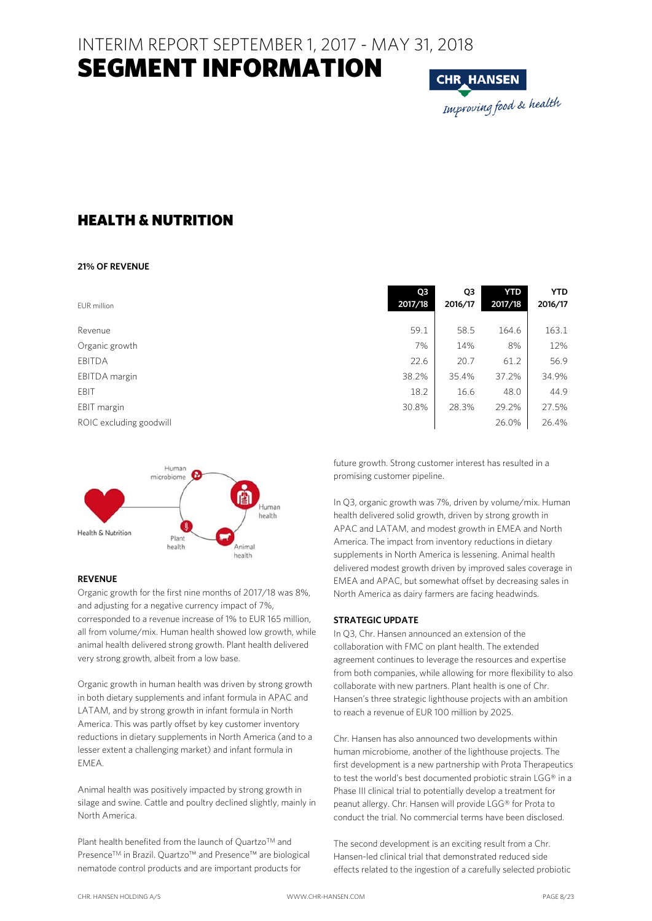### SEGMENT INFORMATION

**CHR HANSEN** Improving food & health

### HEALTH & NUTRITION

#### **21% OF REVENUE**

| EUR million             | Q3<br>2017/18 | Q3<br>2016/17 | <b>YTD</b><br>2017/18 | <b>YTD</b><br>2016/17 |
|-------------------------|---------------|---------------|-----------------------|-----------------------|
| Revenue                 | 59.1          | 58.5          | 164.6                 | 163.1                 |
| Organic growth          | 7%            | 14%           | 8%                    | 12%                   |
| <b>EBITDA</b>           | 22.6          | 20.7          | 61.2                  | 56.9                  |
| EBITDA margin           | 38.2%         | 35.4%         | 37.2%                 | 34.9%                 |
| EBIT                    | 18.2          | 16.6          | 48.0                  | 44.9                  |
| EBIT margin             | 30.8%         | 28.3%         | 29.2%                 | 27.5%                 |
| ROIC excluding goodwill |               |               | 26.0%                 | 26.4%                 |



#### **REVENUE**

Organic growth for the first nine months of 2017/18 was 8%, and adjusting for a negative currency impact of 7%, corresponded to a revenue increase of 1% to EUR 165 million, all from volume/mix. Human health showed low growth, while animal health delivered strong growth. Plant health delivered very strong growth, albeit from a low base.

Organic growth in human health was driven by strong growth in both dietary supplements and infant formula in APAC and LATAM, and by strong growth in infant formula in North America. This was partly offset by key customer inventory reductions in dietary supplements in North America (and to a lesser extent a challenging market) and infant formula in EMEA.

Animal health was positively impacted by strong growth in silage and swine. Cattle and poultry declined slightly, mainly in North America.

Plant health benefited from the launch of Quartzo™ and Presence™ in Brazil. Quartzo™ and Presence™ are biological nematode control products and are important products for

| 59.1  | 58.5  | 164.6 | 163.1 |
|-------|-------|-------|-------|
| 7%    | 14%   | 8%    | 12%   |
| 22.6  | 20.7  | 61.2  | 56.9  |
| 38.2% | 35.4% | 37.2% | 34.9% |
| 18.2  | 16.6  | 48.0  | 44.9  |
| 30.8% | 28.3% | 29.2% | 27.5% |
|       |       | 26.0% | 26.4% |
|       |       |       |       |
|       |       |       |       |

future growth. Strong customer interest has resulted in a promising customer pipeline.

In Q3, organic growth was 7%, driven by volume/mix. Human health delivered solid growth, driven by strong growth in APAC and LATAM, and modest growth in EMEA and North America. The impact from inventory reductions in dietary supplements in North America is lessening. Animal health delivered modest growth driven by improved sales coverage in EMEA and APAC, but somewhat offset by decreasing sales in North America as dairy farmers are facing headwinds.

#### **STRATEGIC UPDATE**

In Q3, Chr. Hansen announced an extension of the collaboration with FMC on plant health. The extended agreement continues to leverage the resources and expertise from both companies, while allowing for more flexibility to also collaborate with new partners. Plant health is one of Chr. Hansen's three strategic lighthouse projects with an ambition to reach a revenue of EUR 100 million by 2025.

Chr. Hansen has also announced two developments within human microbiome, another of the lighthouse projects. The first development is a new partnership with Prota Therapeutics to test the world's best documented probiotic strain LGG® in a Phase III clinical trial to potentially develop a treatment for peanut allergy. Chr. Hansen will provide LGG® for Prota to conduct the trial. No commercial terms have been disclosed.

The second development is an exciting result from a Chr. Hansen-led clinical trial that demonstrated reduced side effects related to the ingestion of a carefully selected probiotic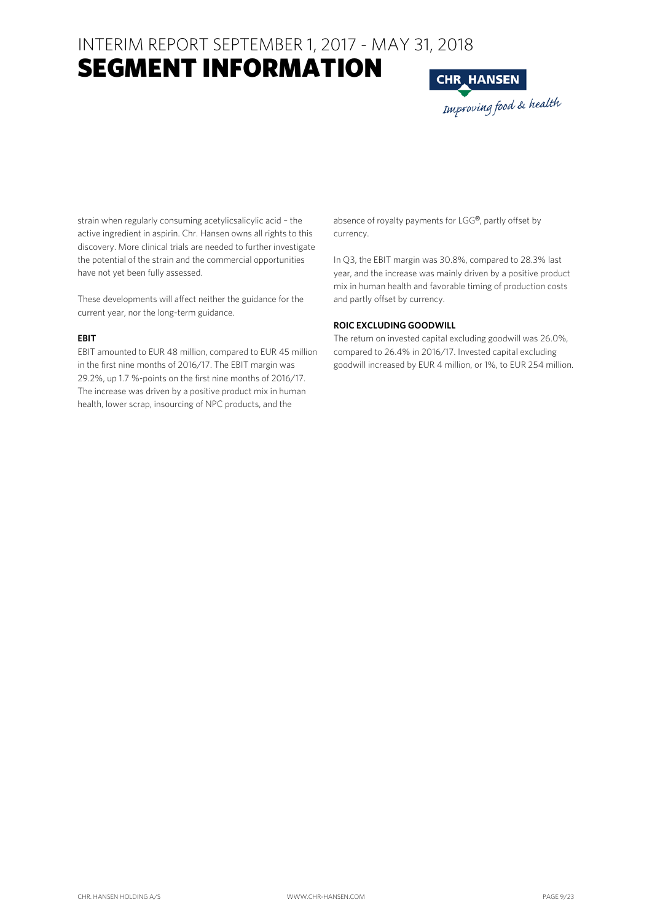### SEGMENT INFORMATION

**CHR\_HANSEN** Improving food & health

strain when regularly consuming acetylicsalicylic acid – the active ingredient in aspirin. Chr. Hansen owns all rights to this discovery. More clinical trials are needed to further investigate the potential of the strain and the commercial opportunities have not yet been fully assessed.

These developments will affect neither the guidance for the current year, nor the long-term guidance.

#### **EBIT**

EBIT amounted to EUR 48 million, compared to EUR 45 million in the first nine months of 2016/17. The EBIT margin was 29.2%, up 1.7 %-points on the first nine months of 2016/17. The increase was driven by a positive product mix in human health, lower scrap, insourcing of NPC products, and the

absence of royalty payments for LGG®, partly offset by currency.

In Q3, the EBIT margin was 30.8%, compared to 28.3% last year, and the increase was mainly driven by a positive product mix in human health and favorable timing of production costs and partly offset by currency.

#### **ROIC EXCLUDING GOODWILL**

The return on invested capital excluding goodwill was 26.0%, compared to 26.4% in 2016/17. Invested capital excluding goodwill increased by EUR 4 million, or 1%, to EUR 254 million.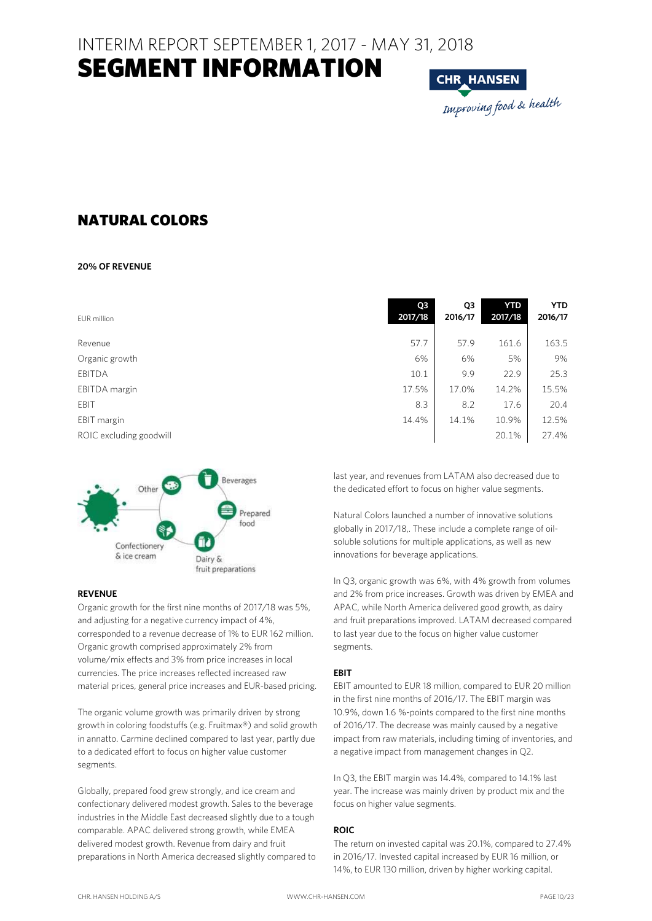

### NATURAL COLORS

#### **20% OF REVENUE**

| EUR million             | Q3<br>2017/18 | Q3<br>2016/17 | <b>YTD</b><br>2017/18 | <b>YTD</b><br>2016/17 |
|-------------------------|---------------|---------------|-----------------------|-----------------------|
| Revenue                 | 57.7          | 57.9          | 161.6                 | 163.5                 |
| Organic growth          | 6%            | 6%            | 5%                    | 9%                    |
| <b>EBITDA</b>           | 10.1          | 9.9           | 22.9                  | 25.3                  |
| EBITDA margin           | 17.5%         | 17.0%         | 14.2%                 | 15.5%                 |
| EBIT                    | 8.3           | 8.2           | 17.6                  | 20.4                  |
| EBIT margin             | 14.4%         | 14.1%         | 10.9%                 | 12.5%                 |
| ROIC excluding goodwill |               |               | 20.1%                 | 27.4%                 |



#### **REVENUE**

Organic growth for the first nine months of 2017/18 was 5%, and adjusting for a negative currency impact of 4%, corresponded to a revenue decrease of 1% to EUR 162 million. Organic growth comprised approximately 2% from volume/mix effects and 3% from price increases in local currencies. The price increases reflected increased raw material prices, general price increases and EUR-based pricing.

The organic volume growth was primarily driven by strong growth in coloring foodstuffs (e.g. Fruitmax®) and solid growth in annatto. Carmine declined compared to last year, partly due to a dedicated effort to focus on higher value customer segments.

Globally, prepared food grew strongly, and ice cream and confectionary delivered modest growth. Sales to the beverage industries in the Middle East decreased slightly due to a tough comparable. APAC delivered strong growth, while EMEA delivered modest growth. Revenue from dairy and fruit preparations in North America decreased slightly compared to last year, and revenues from LATAM also decreased due to the dedicated effort to focus on higher value segments.

Natural Colors launched a number of innovative solutions globally in 2017/18,. These include a complete range of oilsoluble solutions for multiple applications, as well as new innovations for beverage applications.

In Q3, organic growth was 6%, with 4% growth from volumes and 2% from price increases. Growth was driven by EMEA and APAC, while North America delivered good growth, as dairy and fruit preparations improved. LATAM decreased compared to last year due to the focus on higher value customer segments.

#### **EBIT**

EBIT amounted to EUR 18 million, compared to EUR 20 million in the first nine months of 2016/17. The EBIT margin was 10.9%, down 1.6 %-points compared to the first nine months of 2016/17. The decrease was mainly caused by a negative impact from raw materials, including timing of inventories, and a negative impact from management changes in Q2.

In Q3, the EBIT margin was 14.4%, compared to 14.1% last year. The increase was mainly driven by product mix and the focus on higher value segments.

#### **ROIC**

The return on invested capital was 20.1%, compared to 27.4% in 2016/17. Invested capital increased by EUR 16 million, or 14%, to EUR 130 million, driven by higher working capital.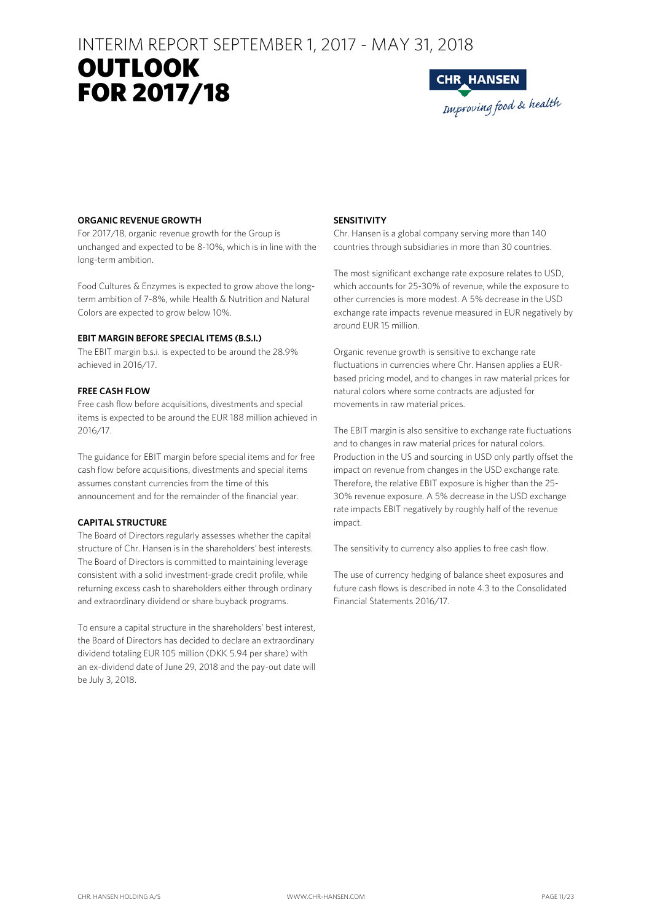## OUTLOOK **RESULTS** FOR 2017/18



#### **ORGANIC REVENUE GROWTH**

For 2017/18, organic revenue growth for the Group is unchanged and expected to be 8-10%, which is in line with the long-term ambition.

Food Cultures & Enzymes is expected to grow above the longterm ambition of 7-8%, while Health & Nutrition and Natural Colors are expected to grow below 10%.

#### **EBIT MARGIN BEFORE SPECIAL ITEMS (B.S.I.)**

The EBIT margin b.s.i. is expected to be around the 28.9% achieved in 2016/17.

#### **FREE CASH FLOW**

Free cash flow before acquisitions, divestments and special items is expected to be around the EUR 188 million achieved in 2016/17.

The guidance for EBIT margin before special items and for free cash flow before acquisitions, divestments and special items assumes constant currencies from the time of this announcement and for the remainder of the financial year.

#### **CAPITAL STRUCTURE**

The Board of Directors regularly assesses whether the capital structure of Chr. Hansen is in the shareholders' best interests. The Board of Directors is committed to maintaining leverage consistent with a solid investment-grade credit profile, while returning excess cash to shareholders either through ordinary and extraordinary dividend or share buyback programs.

To ensure a capital structure in the shareholders' best interest, the Board of Directors has decided to declare an extraordinary dividend totaling EUR 105 million (DKK 5.94 per share) with an ex-dividend date of June 29, 2018 and the pay-out date will be July 3, 2018.

#### **SENSITIVITY**

Chr. Hansen is a global company serving more than 140 countries through subsidiaries in more than 30 countries.

The most significant exchange rate exposure relates to USD, which accounts for 25-30% of revenue, while the exposure to other currencies is more modest. A 5% decrease in the USD exchange rate impacts revenue measured in EUR negatively by around EUR 15 million.

Organic revenue growth is sensitive to exchange rate fluctuations in currencies where Chr. Hansen applies a EURbased pricing model, and to changes in raw material prices for natural colors where some contracts are adjusted for movements in raw material prices.

The EBIT margin is also sensitive to exchange rate fluctuations and to changes in raw material prices for natural colors. Production in the US and sourcing in USD only partly offset the impact on revenue from changes in the USD exchange rate. Therefore, the relative EBIT exposure is higher than the 25- 30% revenue exposure. A 5% decrease in the USD exchange rate impacts EBIT negatively by roughly half of the revenue impact.

The sensitivity to currency also applies to free cash flow.

The use of currency hedging of balance sheet exposures and future cash flows is described in note 4.3 to the Consolidated Financial Statements 2016/17.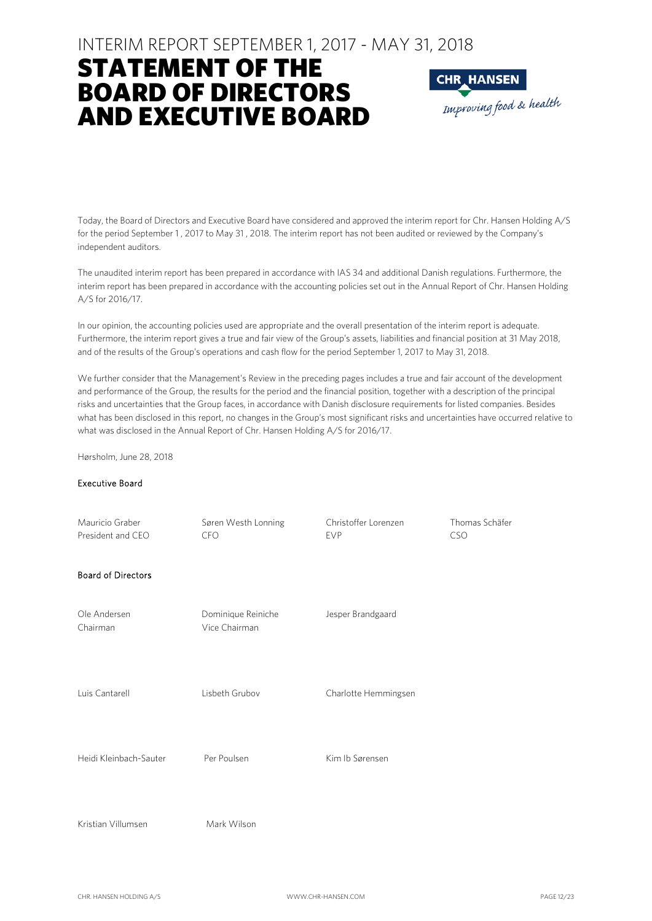### STATEMENT OF THE BOARD OF DIRECTORS AND EXECUTIVE BOARD



Today, the Board of Directors and Executive Board have considered and approved the interim report for Chr. Hansen Holding A/S for the period September 1 , 2017 to May 31 , 2018. The interim report has not been audited or reviewed by the Company's independent auditors.

The unaudited interim report has been prepared in accordance with IAS 34 and additional Danish regulations. Furthermore, the interim report has been prepared in accordance with the accounting policies set out in the Annual Report of Chr. Hansen Holding A/S for 2016/17.

In our opinion, the accounting policies used are appropriate and the overall presentation of the interim report is adequate. Furthermore, the interim report gives a true and fair view of the Group's assets, liabilities and financial position at 31 May 2018, and of the results of the Group's operations and cash flow for the period September 1, 2017 to May 31, 2018.

We further consider that the Management's Review in the preceding pages includes a true and fair account of the development and performance of the Group, the results for the period and the financial position, together with a description of the principal risks and uncertainties that the Group faces, in accordance with Danish disclosure requirements for listed companies. Besides what has been disclosed in this report, no changes in the Group's most significant risks and uncertainties have occurred relative to what was disclosed in the Annual Report of Chr. Hansen Holding A/S for 2016/17.

Hørsholm, June 28, 2018

#### Executive Board

| Mauricio Graber<br>President and CEO | Søren Westh Lonning<br><b>CFO</b>   | Christoffer Lorenzen<br><b>EVP</b> | Thomas Schäfer<br><b>CSO</b> |
|--------------------------------------|-------------------------------------|------------------------------------|------------------------------|
| <b>Board of Directors</b>            |                                     |                                    |                              |
| Ole Andersen<br>Chairman             | Dominique Reiniche<br>Vice Chairman | Jesper Brandgaard                  |                              |
| Luis Cantarell                       | Lisbeth Grubov                      | Charlotte Hemmingsen               |                              |
| Heidi Kleinbach-Sauter               | Per Poulsen                         | Kim Ib Sørensen                    |                              |
| Kristian Villumsen                   | Mark Wilson                         |                                    |                              |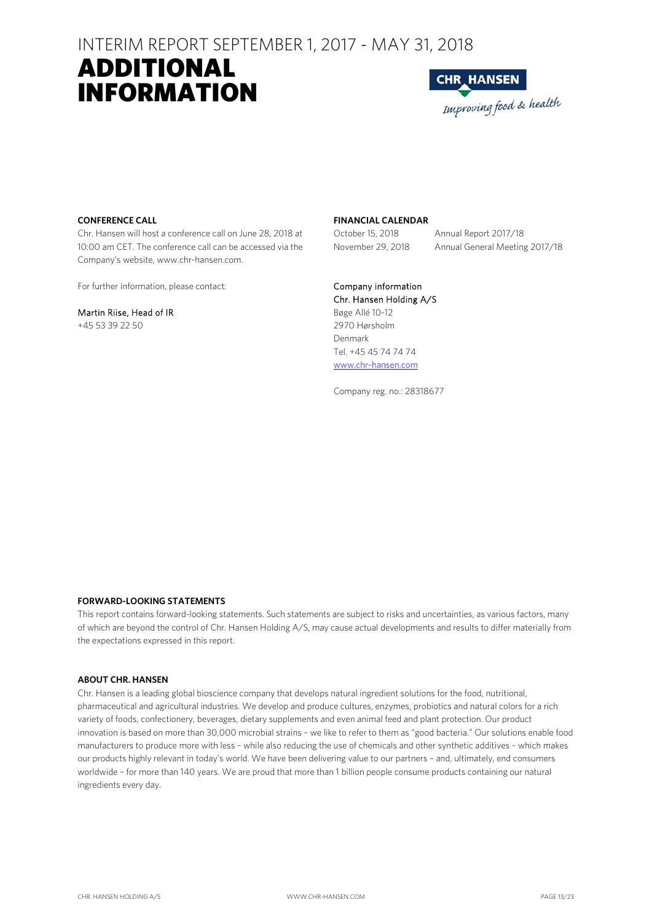## ADDITIONAL INFORMATION



#### **CONFERENCE CALL**

Chr. Hansen will host a conference call on June 28, 2018 at 10:00 am CET. The conference call can be accessed via the Company's website, www.chr-hansen.com.

For further information, please contact:

#### Martin Riise, Head of IR

+45 53 39 22 50

#### **FINANCIAL CALENDAR**

October 15, 2018 Annual Report 2017/18 November 29, 2018 Annual General Meeting 2017/18

#### Company information

Chr. Hansen Holding A/S Bøge Allé 10-12 2970 Hørsholm Denmark Tel. +45 45 74 74 74 www.chr-hansen.com

Company reg. no.: 28318677

#### **FORWARD-LOOKING STATEMENTS**

This report contains forward-looking statements. Such statements are subject to risks and uncertainties, as various factors, many of which are beyond the control of Chr. Hansen Holding A/S, may cause actual developments and results to differ materially from the expectations expressed in this report.

#### **ABOUT CHR. HANSEN**

Chr. Hansen is a leading global bioscience company that develops natural ingredient solutions for the food, nutritional, pharmaceutical and agricultural industries. We develop and produce cultures, enzymes, probiotics and natural colors for a rich variety of foods, confectionery, beverages, dietary supplements and even animal feed and plant protection. Our product innovation is based on more than 30,000 microbial strains – we like to refer to them as "good bacteria." Our solutions enable food manufacturers to produce more with less – while also reducing the use of chemicals and other synthetic additives – which makes our products highly relevant in today's world. We have been delivering value to our partners – and, ultimately, end consumers worldwide – for more than 140 years. We are proud that more than 1 billion people consume products containing our natural ingredients every day.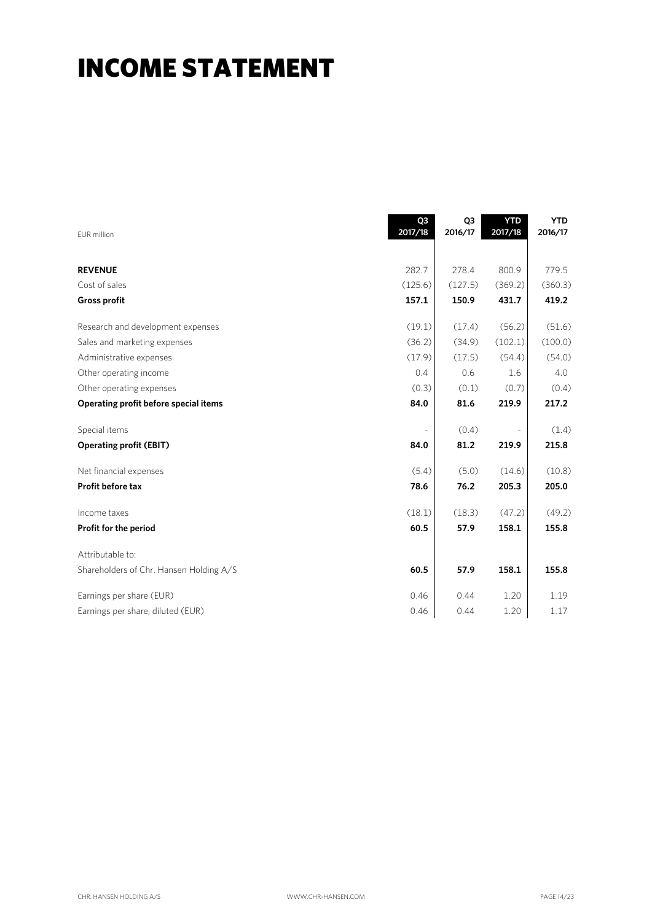## INCOME STATEMENT

| EUR million                             | Q3<br>2017/18 | Q <sub>3</sub><br>2016/17 | <b>YTD</b><br>2017/18 | <b>YTD</b><br>2016/17 |
|-----------------------------------------|---------------|---------------------------|-----------------------|-----------------------|
| <b>REVENUE</b>                          | 282.7         | 278.4                     | 800.9                 | 779.5                 |
| Cost of sales                           | (125.6)       | (127.5)                   | (369.2)               | (360.3)               |
| <b>Gross profit</b>                     | 157.1         | 150.9                     | 431.7                 | 419.2                 |
| Research and development expenses       | (19.1)        | (17.4)                    | (56.2)                | (51.6)                |
| Sales and marketing expenses            | (36.2)        | (34.9)                    | (102.1)               | (100.0)               |
| Administrative expenses                 | (17.9)        | (17.5)                    | (54.4)                | (54.0)                |
| Other operating income                  | 0.4           | 0.6                       | 1.6                   | 4.0                   |
| Other operating expenses                | (0.3)         | (0.1)                     | (0.7)                 | (0.4)                 |
| Operating profit before special items   | 84.0          | 81.6                      | 219.9                 | 217.2                 |
| Special items                           |               | (0.4)                     |                       | (1.4)                 |
| <b>Operating profit (EBIT)</b>          | 84.0          | 81.2                      | 219.9                 | 215.8                 |
| Net financial expenses                  | (5.4)         | (5.0)                     | (14.6)                | (10.8)                |
| Profit before tax                       | 78.6          | 76.2                      | 205.3                 | 205.0                 |
| Income taxes                            | (18.1)        | (18.3)                    | (47.2)                | (49.2)                |
| Profit for the period                   | 60.5          | 57.9                      | 158.1                 | 155.8                 |
| Attributable to:                        |               |                           |                       |                       |
| Shareholders of Chr. Hansen Holding A/S | 60.5          | 57.9                      | 158.1                 | 155.8                 |
| Earnings per share (EUR)                | 0.46          | 0.44                      | 1.20                  | 1.19                  |
| Earnings per share, diluted (EUR)       | 0.46          | 0.44                      | 1.20                  | 1.17                  |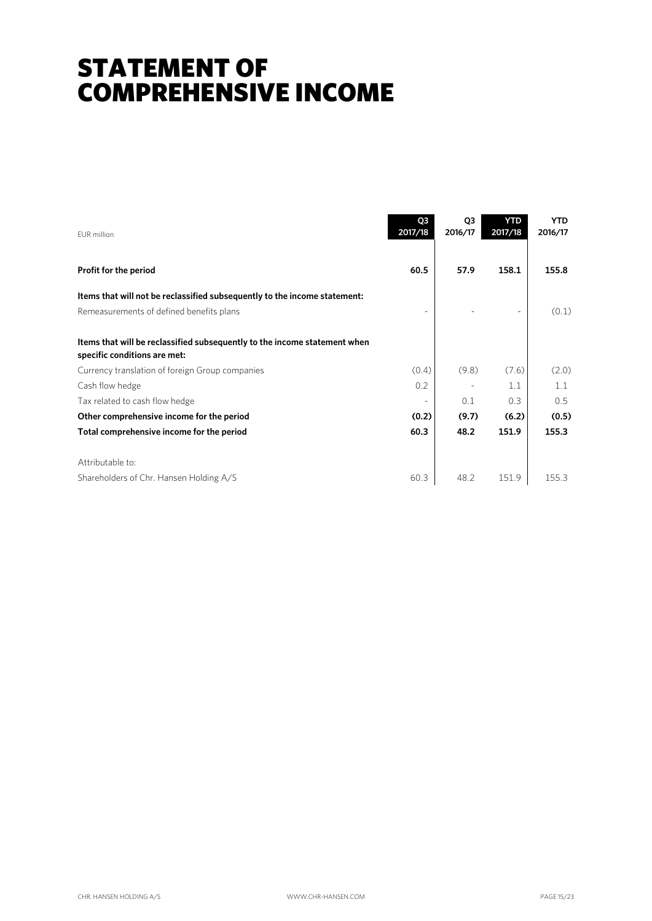## STATEMENT OF COMPREHENSIVE INCOME

| FUR million                                                                                               | Q3<br>2017/18            | Q <sub>3</sub><br>2016/17 | <b>YTD</b><br>2017/18 | <b>YTD</b><br>2016/17 |
|-----------------------------------------------------------------------------------------------------------|--------------------------|---------------------------|-----------------------|-----------------------|
| Profit for the period                                                                                     | 60.5                     | 57.9                      | 158.1                 | 155.8                 |
| Items that will not be reclassified subsequently to the income statement:                                 |                          |                           |                       |                       |
| Remeasurements of defined benefits plans                                                                  |                          |                           |                       | (0.1)                 |
| Items that will be reclassified subsequently to the income statement when<br>specific conditions are met: |                          |                           |                       |                       |
| Currency translation of foreign Group companies                                                           | (0.4)                    | (9.8)                     | (7.6)                 | (2.0)                 |
| Cash flow hedge                                                                                           | 0.2                      |                           | 1.1                   | 1.1                   |
| Tax related to cash flow hedge                                                                            | $\overline{\phantom{a}}$ | 0.1                       | 0.3                   | 0.5                   |
| Other comprehensive income for the period                                                                 | (0.2)                    | (9.7)                     | (6.2)                 | (0.5)                 |
| Total comprehensive income for the period                                                                 | 60.3                     | 48.2                      | 151.9                 | 155.3                 |
| Attributable to:                                                                                          |                          |                           |                       |                       |
| Shareholders of Chr. Hansen Holding A/S                                                                   | 60.3                     | 48.2                      | 151.9                 | 155.3                 |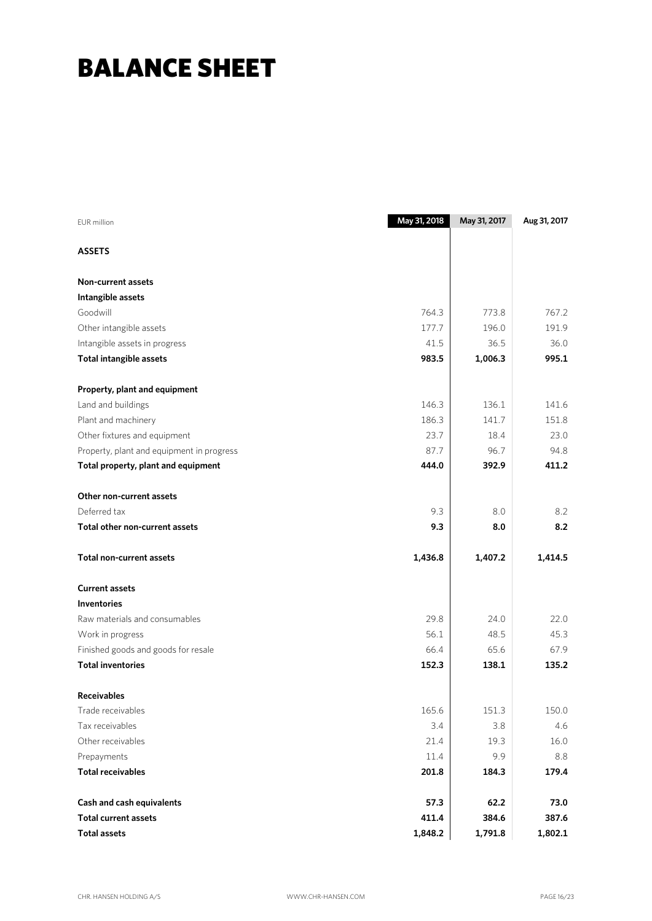## BALANCE SHEET

| <b>EUR</b> million                        | May 31, 2018 | May 31, 2017 | Aug 31, 2017 |
|-------------------------------------------|--------------|--------------|--------------|
| <b>ASSETS</b>                             |              |              |              |
| <b>Non-current assets</b>                 |              |              |              |
| Intangible assets                         |              |              |              |
| Goodwill                                  | 764.3        | 773.8        | 767.2        |
| Other intangible assets                   | 177.7        | 196.0        | 191.9        |
| Intangible assets in progress             | 41.5         | 36.5         | 36.0         |
| <b>Total intangible assets</b>            | 983.5        | 1,006.3      | 995.1        |
| Property, plant and equipment             |              |              |              |
| Land and buildings                        | 146.3        | 136.1        | 141.6        |
| Plant and machinery                       | 186.3        | 141.7        | 151.8        |
| Other fixtures and equipment              | 23.7         | 18.4         | 23.0         |
| Property, plant and equipment in progress | 87.7         | 96.7         | 94.8         |
| Total property, plant and equipment       | 444.0        | 392.9        | 411.2        |
| Other non-current assets                  |              |              |              |
| Deferred tax                              | 9.3          | 8.0          | 8.2          |
| Total other non-current assets            | 9.3          | 8.0          | 8.2          |
| <b>Total non-current assets</b>           | 1,436.8      | 1,407.2      | 1,414.5      |
| <b>Current assets</b>                     |              |              |              |
| <b>Inventories</b>                        |              |              |              |
| Raw materials and consumables             | 29.8         | 24.0         | 22.0         |
| Work in progress                          | 56.1         | 48.5         | 45.3         |
| Finished goods and goods for resale       | 66.4         | 65.6         | 67.9         |
| <b>Total inventories</b>                  | 152.3        | 138.1        | 135.2        |
| <b>Receivables</b>                        |              |              |              |
| Trade receivables                         | 165.6        | 151.3        | 150.0        |
| Tax receivables                           | 3.4          | 3.8          | 4.6          |
| Other receivables                         | 21.4         | 19.3         | 16.0         |
| Prepayments                               | 11.4         | 9.9          | 8.8          |
| <b>Total receivables</b>                  | 201.8        | 184.3        | 179.4        |
| Cash and cash equivalents                 | 57.3         | 62.2         | 73.0         |
| <b>Total current assets</b>               | 411.4        | 384.6        | 387.6        |
| <b>Total assets</b>                       | 1,848.2      | 1,791.8      | 1,802.1      |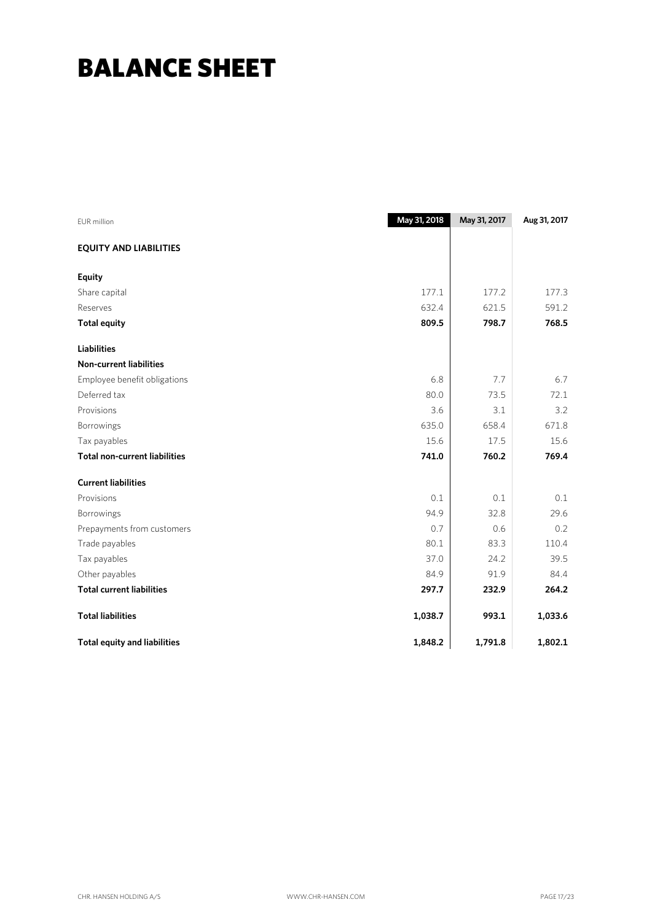## BALANCE SHEET

| <b>EUR</b> million                   | May 31, 2018 | May 31, 2017 | Aug 31, 2017 |
|--------------------------------------|--------------|--------------|--------------|
| <b>EQUITY AND LIABILITIES</b>        |              |              |              |
| <b>Equity</b>                        |              |              |              |
| Share capital                        | 177.1        | 177.2        | 177.3        |
| Reserves                             | 632.4        | 621.5        | 591.2        |
| <b>Total equity</b>                  | 809.5        | 798.7        | 768.5        |
| <b>Liabilities</b>                   |              |              |              |
| <b>Non-current liabilities</b>       |              |              |              |
| Employee benefit obligations         | 6.8          | 7.7          | 6.7          |
| Deferred tax                         | 80.0         | 73.5         | 72.1         |
| Provisions                           | 3.6          | 3.1          | 3.2          |
| Borrowings                           | 635.0        | 658.4        | 671.8        |
| Tax payables                         | 15.6         | 17.5         | 15.6         |
| <b>Total non-current liabilities</b> | 741.0        | 760.2        | 769.4        |
| <b>Current liabilities</b>           |              |              |              |
| Provisions                           | 0.1          | 0.1          | 0.1          |
| Borrowings                           | 94.9         | 32.8         | 29.6         |
| Prepayments from customers           | 0.7          | 0.6          | 0.2          |
| Trade payables                       | 80.1         | 83.3         | 110.4        |
| Tax payables                         | 37.0         | 24.2         | 39.5         |
| Other payables                       | 84.9         | 91.9         | 84.4         |
| <b>Total current liabilities</b>     | 297.7        | 232.9        | 264.2        |
| <b>Total liabilities</b>             | 1,038.7      | 993.1        | 1,033.6      |
| <b>Total equity and liabilities</b>  | 1,848.2      | 1,791.8      | 1,802.1      |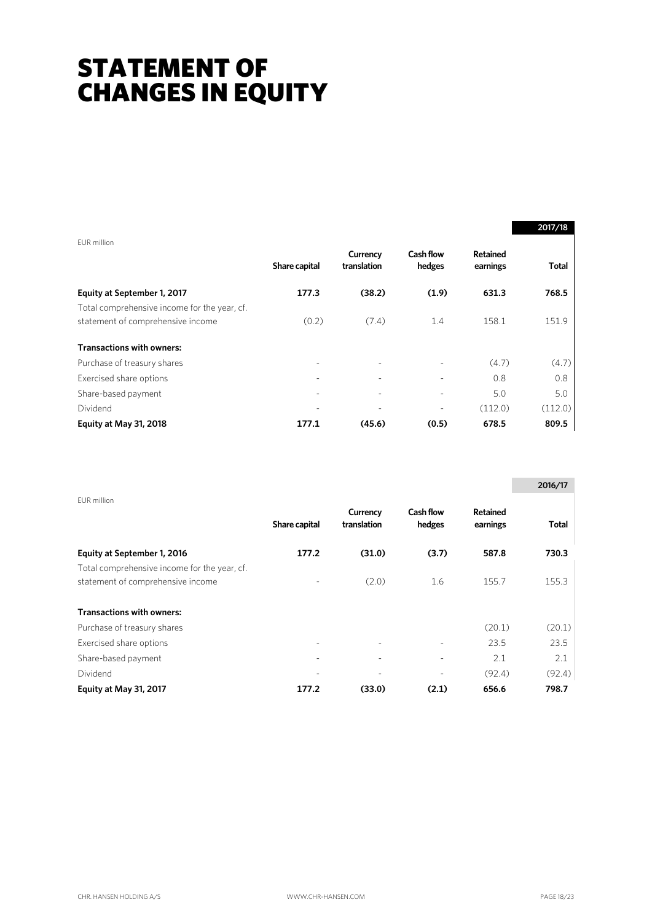## STATEMENT OF CHANGES IN EQUITY

|                                              |               |                         |                     |                             | 2017/18      |
|----------------------------------------------|---------------|-------------------------|---------------------|-----------------------------|--------------|
| EUR million                                  |               |                         |                     |                             |              |
|                                              | Share capital | Currency<br>translation | Cash flow<br>hedges | <b>Retained</b><br>earnings | <b>Total</b> |
| Equity at September 1, 2017                  | 177.3         | (38.2)                  | (1.9)               | 631.3                       | 768.5        |
| Total comprehensive income for the year, cf. |               |                         |                     |                             |              |
| statement of comprehensive income            | (0.2)         | (7.4)                   | 1.4                 | 158.1                       | 151.9        |
| <b>Transactions with owners:</b>             |               |                         |                     |                             |              |
| Purchase of treasury shares                  |               |                         |                     | (4.7)                       | (4.7)        |
| Exercised share options                      | -             |                         |                     | 0.8                         | 0.8          |
| Share-based payment                          |               |                         |                     | 5.0                         | 5.0          |
| Dividend                                     |               |                         |                     | (112.0)                     | (112.0)      |
| Equity at May 31, 2018                       | 177.1         | (45.6)                  | (0.5)               | 678.5                       | 809.5        |

|                                                                                   |               |                         |                            |                             | 2016/17 |
|-----------------------------------------------------------------------------------|---------------|-------------------------|----------------------------|-----------------------------|---------|
| EUR million                                                                       | Share capital | Currency<br>translation | <b>Cash flow</b><br>hedges | <b>Retained</b><br>earnings | Total   |
| Equity at September 1, 2016                                                       | 177.2         | (31.0)                  | (3.7)                      | 587.8                       | 730.3   |
| Total comprehensive income for the year, cf.<br>statement of comprehensive income |               | (2.0)                   | 1.6                        | 155.7                       | 155.3   |
| <b>Transactions with owners:</b>                                                  |               |                         |                            |                             |         |
| Purchase of treasury shares                                                       |               |                         |                            | (20.1)                      | (20.1)  |
| Exercised share options                                                           | ۰             | $\blacksquare$          |                            | 23.5                        | 23.5    |
| Share-based payment                                                               |               |                         |                            | 2.1                         | 2.1     |
| Dividend                                                                          |               |                         | ۰                          | (92.4)                      | (92.4)  |
| Equity at May 31, 2017                                                            | 177.2         | (33.0)                  | (2.1)                      | 656.6                       | 798.7   |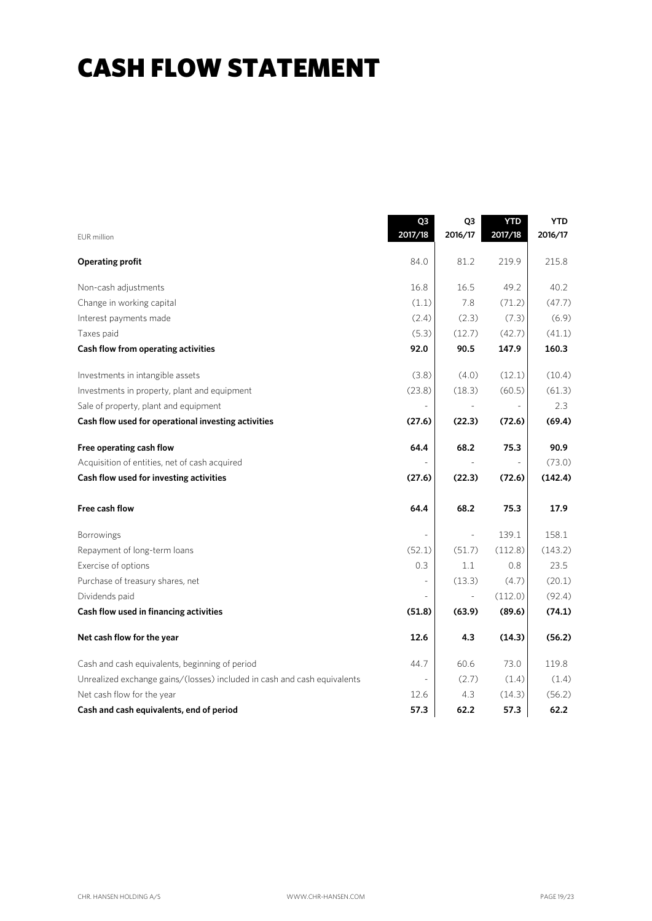## CASH FLOW STATEMENT

|                                                                          | Q3<br>2017/18            | Q <sub>3</sub><br>2016/17 | <b>YTD</b><br>2017/18 | <b>YTD</b><br>2016/17 |
|--------------------------------------------------------------------------|--------------------------|---------------------------|-----------------------|-----------------------|
| EUR million                                                              |                          |                           |                       |                       |
| <b>Operating profit</b>                                                  | 84.0                     | 81.2                      | 219.9                 | 215.8                 |
| Non-cash adjustments                                                     | 16.8                     | 16.5                      | 49.2                  | 40.2                  |
| Change in working capital                                                | (1.1)                    | 7.8                       | (71.2)                | (47.7)                |
| Interest payments made                                                   | (2.4)                    | (2.3)                     | (7.3)                 | (6.9)                 |
| Taxes paid                                                               | (5.3)                    | (12.7)                    | (42.7)                | (41.1)                |
| Cash flow from operating activities                                      | 92.0                     | 90.5                      | 147.9                 | 160.3                 |
| Investments in intangible assets                                         | (3.8)                    | (4.0)                     | (12.1)                | (10.4)                |
| Investments in property, plant and equipment                             | (23.8)                   | (18.3)                    | (60.5)                | (61.3)                |
| Sale of property, plant and equipment                                    | $\overline{\phantom{a}}$ |                           |                       | 2.3                   |
| Cash flow used for operational investing activities                      | (27.6)                   | (22.3)                    | (72.6)                | (69.4)                |
| Free operating cash flow                                                 | 64.4                     | 68.2                      | 75.3                  | 90.9                  |
| Acquisition of entities, net of cash acquired                            |                          |                           |                       | (73.0)                |
| Cash flow used for investing activities                                  | (27.6)                   | (22.3)                    | (72.6)                | (142.4)               |
| Free cash flow                                                           | 64.4                     | 68.2                      | 75.3                  | 17.9                  |
| Borrowings                                                               |                          | $\Box$                    | 139.1                 | 158.1                 |
| Repayment of long-term loans                                             | (52.1)                   | (51.7)                    | (112.8)               | (143.2)               |
| Exercise of options                                                      | 0.3                      | 1.1                       | 0.8                   | 23.5                  |
| Purchase of treasury shares, net                                         |                          | (13.3)                    | (4.7)                 | (20.1)                |
| Dividends paid                                                           |                          |                           | (112.0)               | (92.4)                |
| Cash flow used in financing activities                                   | (51.8)                   | (63.9)                    | (89.6)                | (74.1)                |
| Net cash flow for the year                                               | 12.6                     | 4.3                       | (14.3)                | (56.2)                |
| Cash and cash equivalents, beginning of period                           | 44.7                     | 60.6                      | 73.0                  | 119.8                 |
| Unrealized exchange gains/(losses) included in cash and cash equivalents |                          | (2.7)                     | (1.4)                 | (1.4)                 |
| Net cash flow for the year                                               | 12.6                     | 4.3                       | (14.3)                | (56.2)                |
| Cash and cash equivalents, end of period                                 | 57.3                     | 62.2                      | 57.3                  | 62.2                  |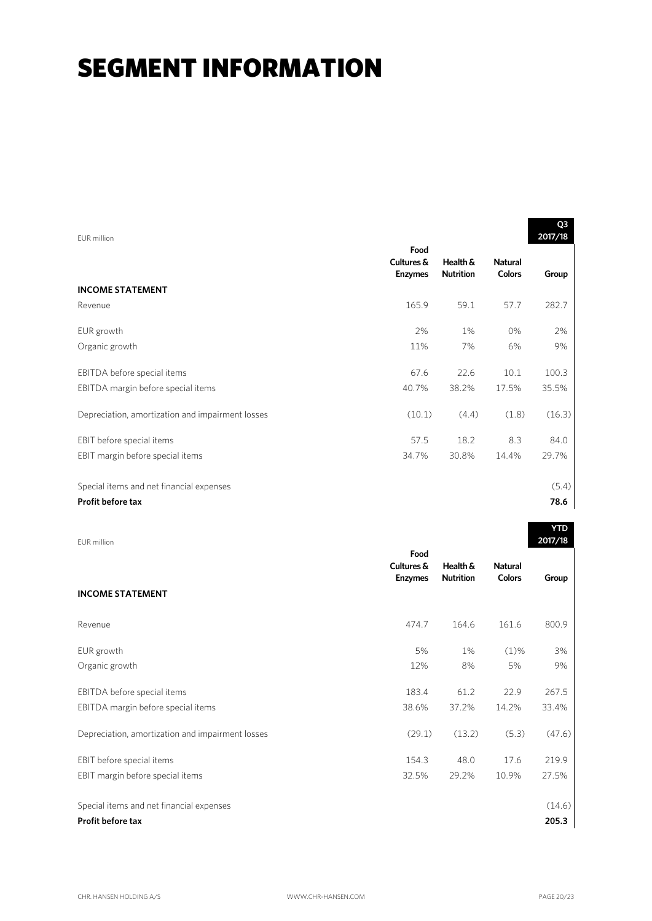| EUR million                                      |                                      |                              |                                 | Q3<br>2017/18 |
|--------------------------------------------------|--------------------------------------|------------------------------|---------------------------------|---------------|
|                                                  | Food<br>Cultures &<br><b>Enzymes</b> | Health &<br><b>Nutrition</b> | <b>Natural</b><br><b>Colors</b> | Group         |
| <b>INCOME STATEMENT</b>                          |                                      |                              |                                 |               |
| Revenue                                          | 165.9                                | 59.1                         | 57.7                            | 282.7         |
| EUR growth                                       | 2%                                   | 1%                           | 0%                              | 2%            |
| Organic growth                                   | 11%                                  | 7%                           | 6%                              | 9%            |
| EBITDA before special items                      | 67.6                                 | 22.6                         | 10.1                            | 100.3         |
| EBITDA margin before special items               | 40.7%                                | 38.2%                        | 17.5%                           | 35.5%         |
| Depreciation, amortization and impairment losses | (10.1)                               | (4.4)                        | (1.8)                           | (16.3)        |
| EBIT before special items                        | 57.5                                 | 18.2                         | 8.3                             | 84.0          |
| EBIT margin before special items                 | 34.7%                                | 30.8%                        | 14.4%                           | 29.7%         |
| Special items and net financial expenses         |                                      |                              |                                 | (5.4)         |
| Profit before tax                                |                                      |                              |                                 | 78.6          |

EUR million

|                                                  | Food<br>Cultures & | Health &         | <b>Natural</b> |        |
|--------------------------------------------------|--------------------|------------------|----------------|--------|
|                                                  | <b>Enzymes</b>     | <b>Nutrition</b> | <b>Colors</b>  | Group  |
| <b>INCOME STATEMENT</b>                          |                    |                  |                |        |
| Revenue                                          | 474.7              | 164.6            | 161.6          | 800.9  |
| EUR growth                                       | 5%                 | 1%               | $(1)\%$        | 3%     |
| Organic growth                                   | 12%                | 8%               | 5%             | 9%     |
| EBITDA before special items                      | 183.4              | 61.2             | 22.9           | 267.5  |
| EBITDA margin before special items               | 38.6%              | 37.2%            | 14.2%          | 33.4%  |
| Depreciation, amortization and impairment losses | (29.1)             | (13.2)           | (5.3)          | (47.6) |
| EBIT before special items                        | 154.3              | 48.0             | 17.6           | 219.9  |
| EBIT margin before special items                 | 32.5%              | 29.2%            | 10.9%          | 27.5%  |
| Special items and net financial expenses         |                    |                  |                | (14.6) |
| Profit before tax                                |                    |                  |                | 205.3  |

**YTD 2017/18**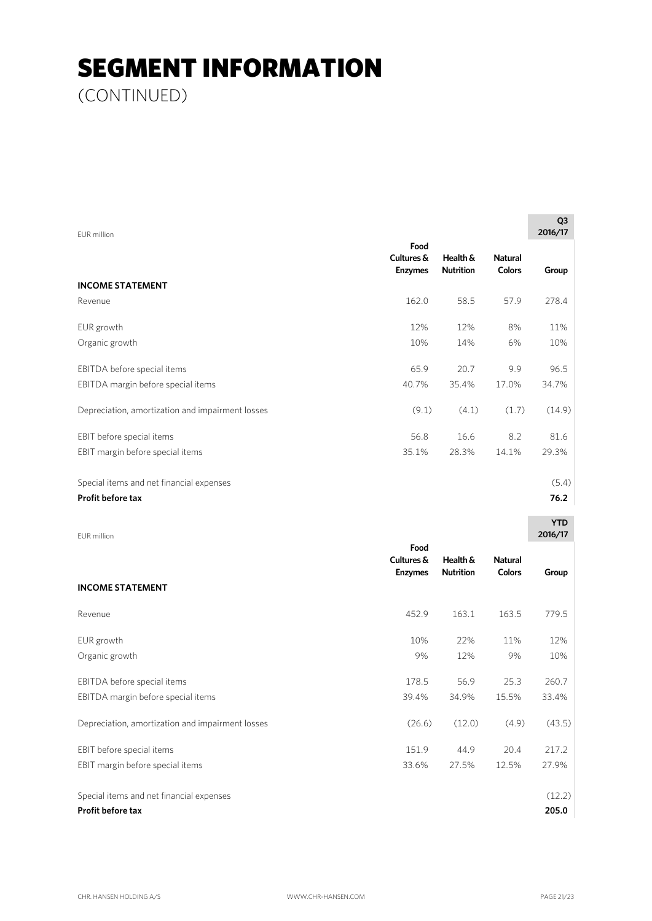(CONTINUED)

| EUR million                                      |                                      |                              |                                 | Q <sub>3</sub><br>2016/17 |
|--------------------------------------------------|--------------------------------------|------------------------------|---------------------------------|---------------------------|
|                                                  | Food<br>Cultures &<br><b>Enzymes</b> | Health &<br><b>Nutrition</b> | <b>Natural</b><br><b>Colors</b> | Group                     |
| <b>INCOME STATEMENT</b>                          |                                      |                              |                                 |                           |
| Revenue                                          | 162.0                                | 58.5                         | 57.9                            | 278.4                     |
| EUR growth                                       | 12%                                  | 12%                          | 8%                              | 11%                       |
| Organic growth                                   | 10%                                  | 14%                          | 6%                              | 10%                       |
| EBITDA before special items                      | 65.9                                 | 20.7                         | 9.9                             | 96.5                      |
| EBITDA margin before special items               | 40.7%                                | 35.4%                        | 17.0%                           | 34.7%                     |
| Depreciation, amortization and impairment losses | (9.1)                                | (4.1)                        | (1.7)                           | (14.9)                    |
| EBIT before special items                        | 56.8                                 | 16.6                         | 8.2                             | 81.6                      |
| EBIT margin before special items                 | 35.1%                                | 28.3%                        | 14.1%                           | 29.3%                     |
| Special items and net financial expenses         |                                      |                              |                                 | (5.4)                     |
| Profit before tax                                |                                      |                              |                                 | 76.2                      |
|                                                  |                                      |                              |                                 | <b>YTD</b>                |

| EUR million                                      |                                      |                              |                                 | 2016/17 |
|--------------------------------------------------|--------------------------------------|------------------------------|---------------------------------|---------|
| <b>INCOME STATEMENT</b>                          | Food<br>Cultures &<br><b>Enzymes</b> | Health &<br><b>Nutrition</b> | <b>Natural</b><br><b>Colors</b> | Group   |
|                                                  |                                      |                              |                                 |         |
| Revenue                                          | 452.9                                | 163.1                        | 163.5                           | 779.5   |
| EUR growth                                       | 10%                                  | 22%                          | 11%                             | 12%     |
| Organic growth                                   | 9%                                   | 12%                          | 9%                              | 10%     |
| EBITDA before special items                      | 178.5                                | 56.9                         | 25.3                            | 260.7   |
| EBITDA margin before special items               | 39.4%                                | 34.9%                        | 15.5%                           | 33.4%   |
| Depreciation, amortization and impairment losses | (26.6)                               | (12.0)                       | (4.9)                           | (43.5)  |
| EBIT before special items                        | 151.9                                | 44.9                         | 20.4                            | 217.2   |
| EBIT margin before special items                 | 33.6%                                | 27.5%                        | 12.5%                           | 27.9%   |
| Special items and net financial expenses         |                                      |                              |                                 | (12.2)  |
| <b>Profit before tax</b>                         |                                      |                              |                                 | 205.0   |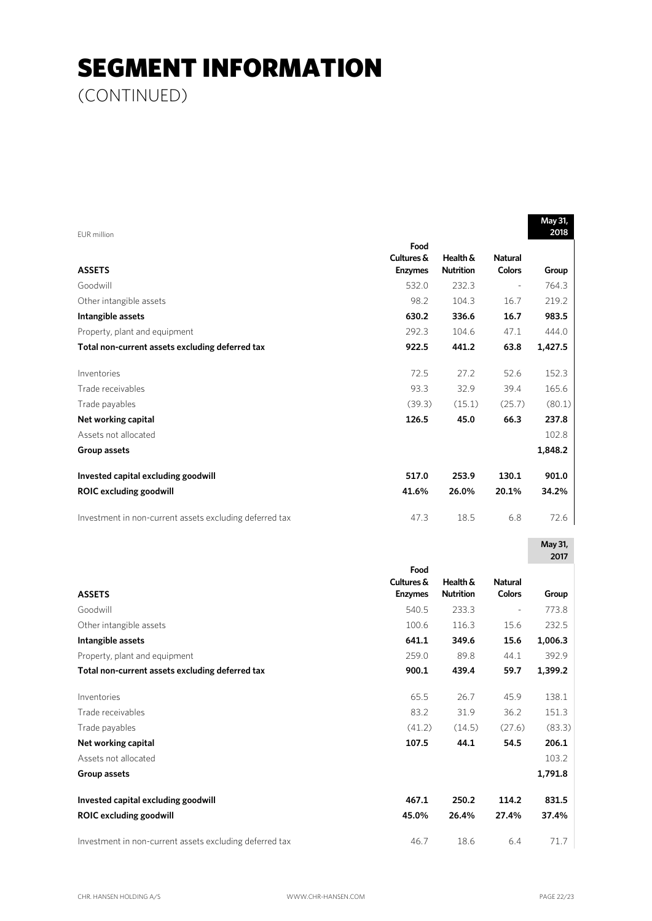(CONTINUED)

|                                                         |                |                  |                | May 31,         |
|---------------------------------------------------------|----------------|------------------|----------------|-----------------|
| <b>EUR</b> million                                      | Food           |                  |                | 2018            |
|                                                         | Cultures &     | Health &         | <b>Natural</b> |                 |
| <b>ASSETS</b>                                           | <b>Enzymes</b> | <b>Nutrition</b> | Colors         | Group           |
| Goodwill                                                | 532.0          | 232.3            |                | 764.3           |
| Other intangible assets                                 | 98.2           | 104.3            | 16.7           | 219.2           |
| Intangible assets                                       | 630.2          | 336.6            | 16.7           | 983.5           |
| Property, plant and equipment                           | 292.3          | 104.6            | 47.1           | 444.0           |
| Total non-current assets excluding deferred tax         | 922.5          | 441.2            | 63.8           | 1,427.5         |
| Inventories                                             | 72.5           | 27.2             | 52.6           | 152.3           |
| Trade receivables                                       | 93.3           | 32.9             | 39.4           | 165.6           |
| Trade payables                                          | (39.3)         | (15.1)           | (25.7)         | (80.1)          |
| Net working capital                                     | 126.5          | 45.0             | 66.3           | 237.8           |
| Assets not allocated                                    |                |                  |                | 102.8           |
| Group assets                                            |                |                  |                | 1,848.2         |
| Invested capital excluding goodwill                     | 517.0          | 253.9            | 130.1          | 901.0           |
| <b>ROIC excluding goodwill</b>                          | 41.6%          | 26.0%            | 20.1%          | 34.2%           |
| Investment in non-current assets excluding deferred tax | 47.3           | 18.5             | 6.8            | 72.6            |
|                                                         |                |                  |                | May 31,<br>2017 |
|                                                         | Food           |                  |                |                 |
|                                                         | Cultures &     | Health &         | <b>Natural</b> |                 |
| <b>ASSETS</b>                                           | <b>Enzymes</b> | <b>Nutrition</b> | Colors         | Group           |
| Goodwill                                                | 540.5          | 233.3            |                | 773.8           |
| Other intangible assets                                 | 100.6          | 116.3            | 15.6           | 232.5           |
| Intangible assets                                       | 641.1          | 349.6            | 15.6           | 1,006.3         |
| Property, plant and equipment                           | 259.0          | 89.8             | 44.1           | 392.9           |
| Total non-current assets excluding deferred tax         | 900.1          | 439.4            | 59.7           | 1,399.2         |
| Inventories                                             | 65.5           | 26.7             | 45.9           | 138.1           |
| Trade receivables                                       | 83.2           | 31.9             | 36.2           | 151.3           |
| Trade payables                                          | (41.2)         | (14.5)           | (27.6)         | (83.3)          |
| Net working capital                                     | 107.5          | 44.1             | 54.5           | 206.1           |
| Assets not allocated                                    |                |                  |                | 103.2           |
| Group assets                                            |                |                  |                | 1,791.8         |
| Invested capital excluding goodwill                     | 467.1          | 250.2            | 114.2          | 831.5           |
| <b>ROIC excluding goodwill</b>                          | 45.0%          | 26.4%            | 27.4%          | 37.4%           |
| Investment in non-current assets excluding deferred tax | 46.7           | 18.6             | 6.4            | 71.7            |